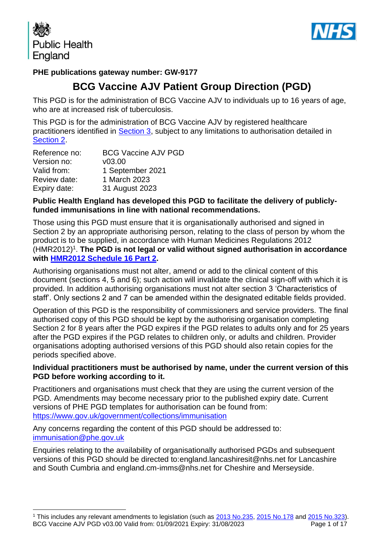



### **PHE publications gateway number: GW-9177**

# **BCG Vaccine AJV Patient Group Direction (PGD)**

This PGD is for the administration of BCG Vaccine AJV to individuals up to 16 years of age, who are at increased risk of tuberculosis.

This PGD is for the administration of BCG Vaccine AJV by registered healthcare practitioners identified in [Section 3,](#page-4-0) subject to any limitations to authorisation detailed in [Section 2.](#page-3-0)

| Reference no: | <b>BCG Vaccine AJV PGD</b> |
|---------------|----------------------------|
| Version no:   | V03.00                     |
| Valid from:   | 1 September 2021           |
| Review date:  | 1 March 2023               |
| Expiry date:  | 31 August 2023             |

#### **Public Health England has developed this PGD to facilitate the delivery of publiclyfunded immunisations in line with national recommendations.**

Those using this PGD must ensure that it is organisationally authorised and signed in Section 2 by an appropriate authorising person, relating to the class of person by whom the product is to be supplied, in accordance with Human Medicines Regulations 2012 (HMR2012)<sup>1</sup>. The PGD is not legal or valid without signed authorisation in accordance **with [HMR2012 Schedule](http://www.legislation.gov.uk/uksi/2012/1916/schedule/16/part/2/made) 16 Part 2.** 

Authorising organisations must not alter, amend or add to the clinical content of this document (sections 4, 5 and 6); such action will invalidate the clinical sign-off with which it is provided. In addition authorising organisations must not alter section 3 'Characteristics of staff'. Only sections 2 and 7 can be amended within the designated editable fields provided.

Operation of this PGD is the responsibility of commissioners and service providers. The final authorised copy of this PGD should be kept by the authorising organisation completing Section 2 for 8 years after the PGD expires if the PGD relates to adults only and for 25 years after the PGD expires if the PGD relates to children only, or adults and children. Provider organisations adopting authorised versions of this PGD should also retain copies for the periods specified above.

#### **Individual practitioners must be authorised by name, under the current version of this PGD before working according to it.**

Practitioners and organisations must check that they are using the current version of the PGD. Amendments may become necessary prior to the published expiry date. Current versions of PHE PGD templates for authorisation can be found from: <https://www.gov.uk/government/collections/immunisation>

Any concerns regarding the content of this PGD should be addressed to: [immunisation@phe.gov.uk](mailto:Immunisation@phe.gov.uk)

Enquiries relating to the availability of organisationally authorised PGDs and subsequent versions of this PGD should be directed to:england.lancashiresit@nhs.net for Lancashire and South Cumbria and england.cm-imms@nhs.net for Cheshire and Merseyside.

BCG Vaccine AJV PGD v03.00 Valid from: 01/09/2021 Expiry: 31/08/2023 Page 1 of 17 <sup>1</sup> This includes any relevant amendments to legislation (such as [2013 No.235,](http://www.legislation.gov.uk/uksi/2013/235/contents/made) [2015 No.178](http://www.legislation.gov.uk/nisr/2015/178/contents/made) and [2015 No.323\)](http://www.legislation.gov.uk/uksi/2015/323/contents/made).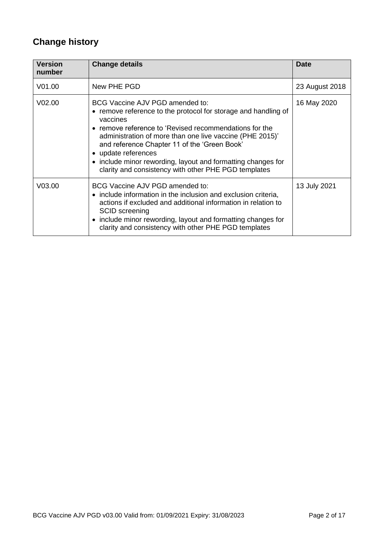# **Change history**

| <b>Version</b><br>number | <b>Change details</b>                                                                                                                                                                                                                                                                                                                                                                                                              | <b>Date</b>    |
|--------------------------|------------------------------------------------------------------------------------------------------------------------------------------------------------------------------------------------------------------------------------------------------------------------------------------------------------------------------------------------------------------------------------------------------------------------------------|----------------|
| V <sub>01.00</sub>       | New PHE PGD                                                                                                                                                                                                                                                                                                                                                                                                                        | 23 August 2018 |
| V <sub>02.00</sub>       | BCG Vaccine AJV PGD amended to:<br>• remove reference to the protocol for storage and handling of<br>vaccines<br>• remove reference to 'Revised recommendations for the<br>administration of more than one live vaccine (PHE 2015)'<br>and reference Chapter 11 of the 'Green Book'<br>• update references<br>• include minor rewording, layout and formatting changes for<br>clarity and consistency with other PHE PGD templates | 16 May 2020    |
| V03.00                   | BCG Vaccine AJV PGD amended to:<br>• include information in the inclusion and exclusion criteria,<br>actions if excluded and additional information in relation to<br><b>SCID</b> screening<br>• include minor rewording, layout and formatting changes for<br>clarity and consistency with other PHE PGD templates                                                                                                                | 13 July 2021   |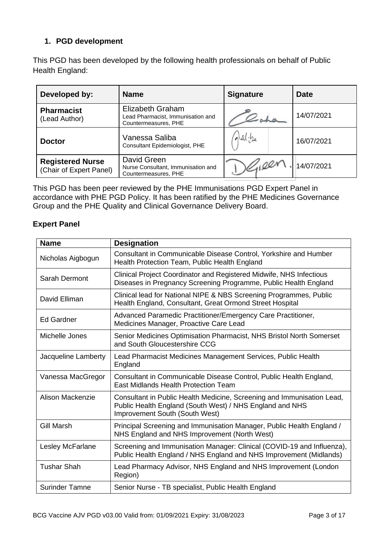### **1. PGD development**

This PGD has been developed by the following health professionals on behalf of Public Health England:

| Developed by:                                      | <b>Name</b>                                                                          | <b>Signature</b> | <b>Date</b> |
|----------------------------------------------------|--------------------------------------------------------------------------------------|------------------|-------------|
| <b>Pharmacist</b><br>(Lead Author)                 | <b>Elizabeth Graham</b><br>Lead Pharmacist, Immunisation and<br>Countermeasures, PHE |                  | 14/07/2021  |
| <b>Doctor</b>                                      | Vanessa Saliba<br>Consultant Epidemiologist, PHE                                     | alal:be          | 16/07/2021  |
| <b>Registered Nurse</b><br>(Chair of Expert Panel) | David Green<br>Nurse Consultant, Immunisation and<br>Countermeasures, PHE            | 16100r           | 14/07/2021  |

This PGD has been peer reviewed by the PHE Immunisations PGD Expert Panel in accordance with PHE PGD Policy. It has been ratified by the PHE Medicines Governance Group and the PHE Quality and Clinical Governance Delivery Board.

#### **Expert Panel**

| <b>Name</b>             | <b>Designation</b>                                                                                                                                                   |
|-------------------------|----------------------------------------------------------------------------------------------------------------------------------------------------------------------|
| Nicholas Aigbogun       | Consultant in Communicable Disease Control, Yorkshire and Humber<br>Health Protection Team, Public Health England                                                    |
| Sarah Dermont           | Clinical Project Coordinator and Registered Midwife, NHS Infectious<br>Diseases in Pregnancy Screening Programme, Public Health England                              |
| David Elliman           | Clinical lead for National NIPE & NBS Screening Programmes, Public<br>Health England, Consultant, Great Ormond Street Hospital                                       |
| Ed Gardner              | Advanced Paramedic Practitioner/Emergency Care Practitioner,<br>Medicines Manager, Proactive Care Lead                                                               |
| Michelle Jones          | Senior Medicines Optimisation Pharmacist, NHS Bristol North Somerset<br>and South Gloucestershire CCG                                                                |
| Jacqueline Lamberty     | Lead Pharmacist Medicines Management Services, Public Health<br>England                                                                                              |
| Vanessa MacGregor       | Consultant in Communicable Disease Control, Public Health England,<br><b>East Midlands Health Protection Team</b>                                                    |
| <b>Alison Mackenzie</b> | Consultant in Public Health Medicine, Screening and Immunisation Lead,<br>Public Health England (South West) / NHS England and NHS<br>Improvement South (South West) |
| <b>Gill Marsh</b>       | Principal Screening and Immunisation Manager, Public Health England /<br>NHS England and NHS Improvement (North West)                                                |
| Lesley McFarlane        | Screening and Immunisation Manager: Clinical (COVID-19 and Influenza),<br>Public Health England / NHS England and NHS Improvement (Midlands)                         |
| <b>Tushar Shah</b>      | Lead Pharmacy Advisor, NHS England and NHS Improvement (London<br>Region)                                                                                            |
| <b>Surinder Tamne</b>   | Senior Nurse - TB specialist, Public Health England                                                                                                                  |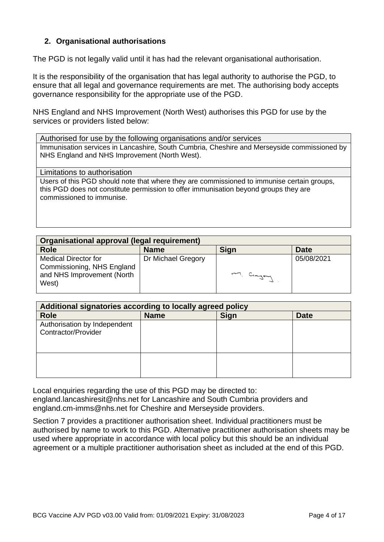#### **2. Organisational authorisations**

The PGD is not legally valid until it has had the relevant organisational authorisation.

It is the responsibility of the organisation that has legal authority to authorise the PGD, to ensure that all legal and governance requirements are met. The authorising body accepts governance responsibility for the appropriate use of the PGD.

NHS England and NHS Improvement (North West) authorises this PGD for use by the services or providers listed below:

Authorised for use by the following organisations and/or services Immunisation services in Lancashire, South Cumbria, Cheshire and Merseyside commissioned by NHS England and NHS Improvement (North West).

<span id="page-3-0"></span>Limitations to authorisation

Users of this PGD should note that where they are commissioned to immunise certain groups, this PGD does not constitute permission to offer immunisation beyond groups they are commissioned to immunise.

| Organisational approval (legal requirement)                                                      |                    |             |             |
|--------------------------------------------------------------------------------------------------|--------------------|-------------|-------------|
| <b>Role</b>                                                                                      | <b>Name</b>        | <b>Sign</b> | <b>Date</b> |
| <b>Medical Director for</b><br>Commissioning, NHS England<br>and NHS Improvement (North<br>West) | Dr Michael Gregory | M. Crayon   | 05/08/2021  |

| Additional signatories according to locally agreed policy |             |             |             |
|-----------------------------------------------------------|-------------|-------------|-------------|
| <b>Role</b>                                               | <b>Name</b> | <b>Sign</b> | <b>Date</b> |
| Authorisation by Independent<br>Contractor/Provider       |             |             |             |
|                                                           |             |             |             |

Local enquiries regarding the use of this PGD may be directed to: england.lancashiresit@nhs.net for Lancashire and South Cumbria providers and england.cm-imms@nhs.net for Cheshire and Merseyside providers.

Section 7 provides a practitioner authorisation sheet. Individual practitioners must be authorised by name to work to this PGD. Alternative practitioner authorisation sheets may be used where appropriate in accordance with local policy but this should be an individual agreement or a multiple practitioner authorisation sheet as included at the end of this PGD.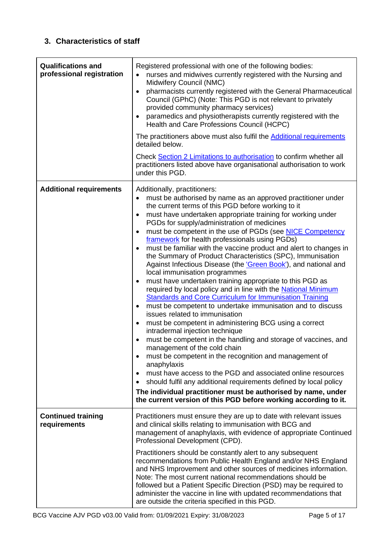### **3. Characteristics of staff**

<span id="page-4-1"></span><span id="page-4-0"></span>

| <b>Qualifications and</b><br>professional registration | Registered professional with one of the following bodies:<br>nurses and midwives currently registered with the Nursing and<br>Midwifery Council (NMC)<br>pharmacists currently registered with the General Pharmaceutical<br>$\bullet$<br>Council (GPhC) (Note: This PGD is not relevant to privately<br>provided community pharmacy services)<br>paramedics and physiotherapists currently registered with the<br>$\bullet$<br>Health and Care Professions Council (HCPC)<br>The practitioners above must also fulfil the Additional requirements<br>detailed below.<br>Check Section 2 Limitations to authorisation to confirm whether all<br>practitioners listed above have organisational authorisation to work<br>under this PGD.                                                                                                                                                                                                                                                                                                                                                                                                                                                                                                                                                                                                                                                                                                                                                                                                                                                          |
|--------------------------------------------------------|--------------------------------------------------------------------------------------------------------------------------------------------------------------------------------------------------------------------------------------------------------------------------------------------------------------------------------------------------------------------------------------------------------------------------------------------------------------------------------------------------------------------------------------------------------------------------------------------------------------------------------------------------------------------------------------------------------------------------------------------------------------------------------------------------------------------------------------------------------------------------------------------------------------------------------------------------------------------------------------------------------------------------------------------------------------------------------------------------------------------------------------------------------------------------------------------------------------------------------------------------------------------------------------------------------------------------------------------------------------------------------------------------------------------------------------------------------------------------------------------------------------------------------------------------------------------------------------------------|
| <b>Additional requirements</b>                         | Additionally, practitioners:<br>must be authorised by name as an approved practitioner under<br>$\bullet$<br>the current terms of this PGD before working to it<br>must have undertaken appropriate training for working under<br>٠<br>PGDs for supply/administration of medicines<br>must be competent in the use of PGDs (see NICE Competency<br>$\bullet$<br>framework for health professionals using PGDs)<br>must be familiar with the vaccine product and alert to changes in<br>$\bullet$<br>the Summary of Product Characteristics (SPC), Immunisation<br>Against Infectious Disease (the 'Green Book'), and national and<br>local immunisation programmes<br>must have undertaken training appropriate to this PGD as<br>$\bullet$<br>required by local policy and in line with the National Minimum<br><b>Standards and Core Curriculum for Immunisation Training</b><br>must be competent to undertake immunisation and to discuss<br>$\bullet$<br>issues related to immunisation<br>must be competent in administering BCG using a correct<br>$\bullet$<br>intradermal injection technique<br>must be competent in the handling and storage of vaccines, and<br>management of the cold chain<br>must be competent in the recognition and management of<br>$\bullet$<br>anaphylaxis<br>must have access to the PGD and associated online resources<br>$\bullet$<br>should fulfil any additional requirements defined by local policy<br>$\bullet$<br>The individual practitioner must be authorised by name, under<br>the current version of this PGD before working according to it. |
| <b>Continued training</b><br>requirements              | Practitioners must ensure they are up to date with relevant issues<br>and clinical skills relating to immunisation with BCG and<br>management of anaphylaxis, with evidence of appropriate Continued<br>Professional Development (CPD).<br>Practitioners should be constantly alert to any subsequent<br>recommendations from Public Health England and/or NHS England<br>and NHS Improvement and other sources of medicines information.<br>Note: The most current national recommendations should be<br>followed but a Patient Specific Direction (PSD) may be required to<br>administer the vaccine in line with updated recommendations that<br>are outside the criteria specified in this PGD.                                                                                                                                                                                                                                                                                                                                                                                                                                                                                                                                                                                                                                                                                                                                                                                                                                                                                              |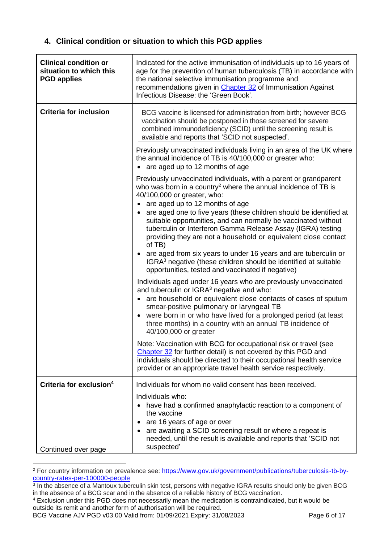#### **4. Clinical condition or situation to which this PGD applies**

| <b>Clinical condition or</b><br>situation to which this<br><b>PGD applies</b> | Indicated for the active immunisation of individuals up to 16 years of<br>age for the prevention of human tuberculosis (TB) in accordance with<br>the national selective immunisation programme and<br>recommendations given in Chapter 32 of Immunisation Against<br>Infectious Disease: the 'Green Book'.                                                                                      |
|-------------------------------------------------------------------------------|--------------------------------------------------------------------------------------------------------------------------------------------------------------------------------------------------------------------------------------------------------------------------------------------------------------------------------------------------------------------------------------------------|
| <b>Criteria for inclusion</b>                                                 | BCG vaccine is licensed for administration from birth; however BCG<br>vaccination should be postponed in those screened for severe<br>combined immunodeficiency (SCID) until the screening result is<br>available and reports that 'SCID not suspected'.                                                                                                                                         |
|                                                                               | Previously unvaccinated individuals living in an area of the UK where<br>the annual incidence of TB is 40/100,000 or greater who:<br>• are aged up to 12 months of age                                                                                                                                                                                                                           |
|                                                                               | Previously unvaccinated individuals, with a parent or grandparent<br>who was born in a country <sup>2</sup> where the annual incidence of TB is<br>40/100,000 or greater, who:<br>• are aged up to 12 months of age<br>are aged one to five years (these children should be identified at                                                                                                        |
|                                                                               | suitable opportunities, and can normally be vaccinated without<br>tuberculin or Interferon Gamma Release Assay (IGRA) testing<br>providing they are not a household or equivalent close contact<br>of TB)                                                                                                                                                                                        |
|                                                                               | are aged from six years to under 16 years and are tuberculin or<br>$\bullet$<br>IGRA <sup>3</sup> negative (these children should be identified at suitable<br>opportunities, tested and vaccinated if negative)                                                                                                                                                                                 |
|                                                                               | Individuals aged under 16 years who are previously unvaccinated<br>and tuberculin or IGRA <sup>3</sup> negative and who:<br>• are household or equivalent close contacts of cases of sputum<br>smear-positive pulmonary or laryngeal TB<br>were born in or who have lived for a prolonged period (at least<br>three months) in a country with an annual TB incidence of<br>40/100,000 or greater |
|                                                                               | Note: Vaccination with BCG for occupational risk or travel (see<br>Chapter 32 for further detail) is not covered by this PGD and<br>individuals should be directed to their occupational health service<br>provider or an appropriate travel health service respectively.                                                                                                                        |
| Criteria for exclusion <sup>4</sup>                                           | Individuals for whom no valid consent has been received.                                                                                                                                                                                                                                                                                                                                         |
|                                                                               | Individuals who:<br>• have had a confirmed anaphylactic reaction to a component of<br>the vaccine<br>are 16 years of age or over<br>are awaiting a SCID screening result or where a repeat is<br>needed, until the result is available and reports that 'SCID not<br>suspected'                                                                                                                  |
| Continued over page                                                           |                                                                                                                                                                                                                                                                                                                                                                                                  |

<sup>2</sup> For country information on prevalence see: [https://www.gov.uk/government/publications/tuberculosis-tb-by](https://www.gov.uk/government/publications/tuberculosis-tb-by-country-rates-per-100000-people)[country-rates-per-100000-people](https://www.gov.uk/government/publications/tuberculosis-tb-by-country-rates-per-100000-people)

BCG Vaccine AJV PGD v03.00 Valid from: 01/09/2021 Expiry: 31/08/2023 Page 6 of 17

<sup>&</sup>lt;sup>3</sup> In the absence of a Mantoux tuberculin skin test, persons with negative IGRA results should only be given BCG in the absence of a BCG scar and in the absence of a reliable history of BCG vaccination.

<sup>4</sup> Exclusion under this PGD does not necessarily mean the medication is contraindicated, but it would be outside its remit and another form of authorisation will be required.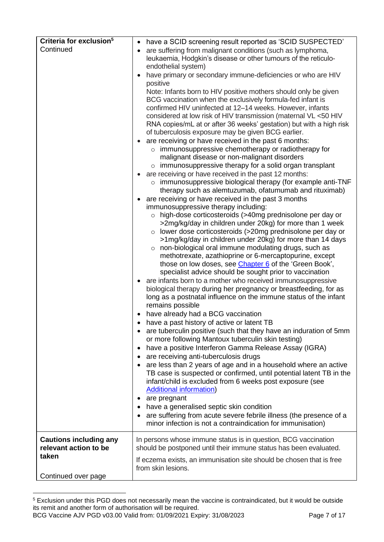| Criteria for exclusion <sup>5</sup> | have a SCID screening result reported as 'SCID SUSPECTED'<br>$\bullet$                                                          |
|-------------------------------------|---------------------------------------------------------------------------------------------------------------------------------|
| Continued                           | are suffering from malignant conditions (such as lymphoma,                                                                      |
|                                     | leukaemia, Hodgkin's disease or other tumours of the reticulo-                                                                  |
|                                     | endothelial system)                                                                                                             |
|                                     | have primary or secondary immune-deficiencies or who are HIV                                                                    |
|                                     | positive                                                                                                                        |
|                                     | Note: Infants born to HIV positive mothers should only be given                                                                 |
|                                     | BCG vaccination when the exclusively formula-fed infant is<br>confirmed HIV uninfected at 12-14 weeks. However, infants         |
|                                     | considered at low risk of HIV transmission (maternal VL <50 HIV                                                                 |
|                                     | RNA copies/mL at or after 36 weeks' gestation) but with a high risk                                                             |
|                                     | of tuberculosis exposure may be given BCG earlier.                                                                              |
|                                     | are receiving or have received in the past 6 months:                                                                            |
|                                     | o immunosuppressive chemotherapy or radiotherapy for                                                                            |
|                                     | malignant disease or non-malignant disorders                                                                                    |
|                                     | $\circ$ immunosuppressive therapy for a solid organ transplant                                                                  |
|                                     | are receiving or have received in the past 12 months:                                                                           |
|                                     | $\circ$ immunosuppressive biological therapy (for example anti-TNF                                                              |
|                                     | therapy such as alemtuzumab, of atumumab and rituximab)<br>are receiving or have received in the past 3 months                  |
|                                     | immunosuppressive therapy including:                                                                                            |
|                                     | o high-dose corticosteroids (>40mg prednisolone per day or                                                                      |
|                                     | >2mg/kg/day in children under 20kg) for more than 1 week                                                                        |
|                                     | $\circ$ lower dose corticosteroids (>20mg prednisolone per day or                                                               |
|                                     | >1mg/kg/day in children under 20kg) for more than 14 days                                                                       |
|                                     | $\circ$ non-biological oral immune modulating drugs, such as                                                                    |
|                                     | methotrexate, azathioprine or 6-mercaptopurine, except                                                                          |
|                                     | those on low doses, see <i>Chapter 6</i> of the 'Green Book',                                                                   |
|                                     | specialist advice should be sought prior to vaccination<br>are infants born to a mother who received immunosuppressive          |
|                                     | biological therapy during her pregnancy or breastfeeding, for as                                                                |
|                                     | long as a postnatal influence on the immune status of the infant                                                                |
|                                     | remains possible                                                                                                                |
|                                     | • have already had a BCG vaccination                                                                                            |
|                                     | • have a past history of active or latent TB                                                                                    |
|                                     | • are tuberculin positive (such that they have an induration of 5mm                                                             |
|                                     | or more following Mantoux tuberculin skin testing)                                                                              |
|                                     | have a positive Interferon Gamma Release Assay (IGRA)                                                                           |
|                                     | are receiving anti-tuberculosis drugs<br>$\bullet$                                                                              |
|                                     | are less than 2 years of age and in a household where an active<br>$\bullet$                                                    |
|                                     | TB case is suspected or confirmed, until potential latent TB in the<br>infant/child is excluded from 6 weeks post exposure (see |
|                                     | <b>Additional information)</b>                                                                                                  |
|                                     | are pregnant                                                                                                                    |
|                                     | have a generalised septic skin condition                                                                                        |
|                                     | are suffering from acute severe febrile illness (the presence of a                                                              |
|                                     | minor infection is not a contraindication for immunisation)                                                                     |
| <b>Cautions including any</b>       | In persons whose immune status is in question, BCG vaccination                                                                  |
| relevant action to be               | should be postponed until their immune status has been evaluated.                                                               |
| taken                               | If eczema exists, an immunisation site should be chosen that is free                                                            |
|                                     | from skin lesions.                                                                                                              |
| Continued over page                 |                                                                                                                                 |

<sup>&</sup>lt;sup>5</sup> Exclusion under this PGD does not necessarily mean the vaccine is contraindicated, but it would be outside its remit and another form of authorisation will be required.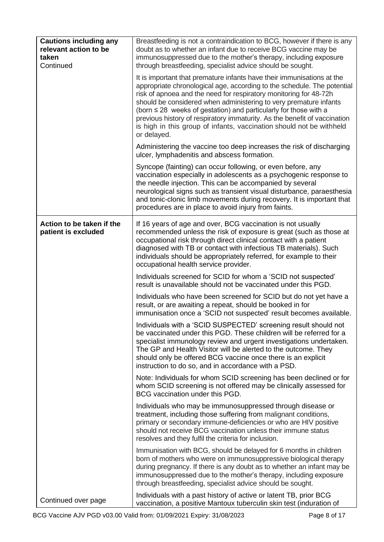| <b>Cautions including any</b><br>relevant action to be<br>taken<br>Continued | Breastfeeding is not a contraindication to BCG, however if there is any<br>doubt as to whether an infant due to receive BCG vaccine may be<br>immunosuppressed due to the mother's therapy, including exposure<br>through breastfeeding, specialist advice should be sought.                                                                                                                                                                                                                                                             |
|------------------------------------------------------------------------------|------------------------------------------------------------------------------------------------------------------------------------------------------------------------------------------------------------------------------------------------------------------------------------------------------------------------------------------------------------------------------------------------------------------------------------------------------------------------------------------------------------------------------------------|
|                                                                              | It is important that premature infants have their immunisations at the<br>appropriate chronological age, according to the schedule. The potential<br>risk of apnoea and the need for respiratory monitoring for 48-72h<br>should be considered when administering to very premature infants<br>(born $\leq$ 28 weeks of gestation) and particularly for those with a<br>previous history of respiratory immaturity. As the benefit of vaccination<br>is high in this group of infants, vaccination should not be withheld<br>or delayed. |
|                                                                              | Administering the vaccine too deep increases the risk of discharging<br>ulcer, lymphadenitis and abscess formation.                                                                                                                                                                                                                                                                                                                                                                                                                      |
|                                                                              | Syncope (fainting) can occur following, or even before, any<br>vaccination especially in adolescents as a psychogenic response to<br>the needle injection. This can be accompanied by several<br>neurological signs such as transient visual disturbance, paraesthesia<br>and tonic-clonic limb movements during recovery. It is important that<br>procedures are in place to avoid injury from faints.                                                                                                                                  |
| Action to be taken if the<br>patient is excluded                             | If 16 years of age and over, BCG vaccination is not usually<br>recommended unless the risk of exposure is great (such as those at<br>occupational risk through direct clinical contact with a patient<br>diagnosed with TB or contact with infectious TB materials). Such<br>individuals should be appropriately referred, for example to their<br>occupational health service provider.                                                                                                                                                 |
|                                                                              | Individuals screened for SCID for whom a 'SCID not suspected'<br>result is unavailable should not be vaccinated under this PGD.                                                                                                                                                                                                                                                                                                                                                                                                          |
|                                                                              | Individuals who have been screened for SCID but do not yet have a<br>result, or are awaiting a repeat, should be booked in for<br>immunisation once a 'SCID not suspected' result becomes available.                                                                                                                                                                                                                                                                                                                                     |
|                                                                              | Individuals with a 'SCID SUSPECTED' screening result should not<br>be vaccinated under this PGD. These children will be referred for a<br>specialist immunology review and urgent investigations undertaken.<br>The GP and Health Visitor will be alerted to the outcome. They<br>should only be offered BCG vaccine once there is an explicit<br>instruction to do so, and in accordance with a PSD.                                                                                                                                    |
|                                                                              | Note: Individuals for whom SCID screening has been declined or for<br>whom SCID screening is not offered may be clinically assessed for<br>BCG vaccination under this PGD.                                                                                                                                                                                                                                                                                                                                                               |
|                                                                              | Individuals who may be immunosuppressed through disease or<br>treatment, including those suffering from malignant conditions,<br>primary or secondary immune-deficiencies or who are HIV positive<br>should not receive BCG vaccination unless their immune status<br>resolves and they fulfil the criteria for inclusion.                                                                                                                                                                                                               |
|                                                                              | Immunisation with BCG, should be delayed for 6 months in children<br>born of mothers who were on immunosuppressive biological therapy<br>during pregnancy. If there is any doubt as to whether an infant may be<br>immunosuppressed due to the mother's therapy, including exposure<br>through breastfeeding, specialist advice should be sought.                                                                                                                                                                                        |
| Continued over page                                                          | Individuals with a past history of active or latent TB, prior BCG<br>vaccination, a positive Mantoux tuberculin skin test (induration of                                                                                                                                                                                                                                                                                                                                                                                                 |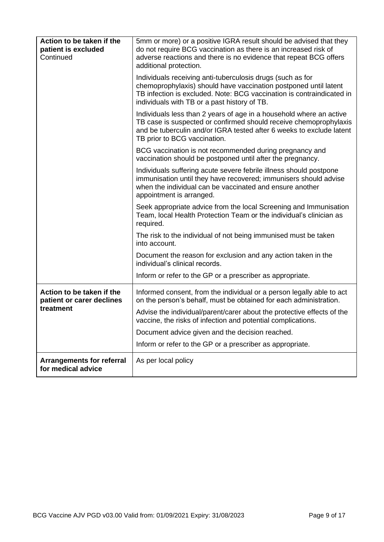| Action to be taken if the<br>patient is excluded<br>Continued | 5mm or more) or a positive IGRA result should be advised that they<br>do not require BCG vaccination as there is an increased risk of<br>adverse reactions and there is no evidence that repeat BCG offers<br>additional protection.                    |
|---------------------------------------------------------------|---------------------------------------------------------------------------------------------------------------------------------------------------------------------------------------------------------------------------------------------------------|
|                                                               | Individuals receiving anti-tuberculosis drugs (such as for<br>chemoprophylaxis) should have vaccination postponed until latent<br>TB infection is excluded. Note: BCG vaccination is contraindicated in<br>individuals with TB or a past history of TB. |
|                                                               | Individuals less than 2 years of age in a household where an active<br>TB case is suspected or confirmed should receive chemoprophylaxis<br>and be tuberculin and/or IGRA tested after 6 weeks to exclude latent<br>TB prior to BCG vaccination.        |
|                                                               | BCG vaccination is not recommended during pregnancy and<br>vaccination should be postponed until after the pregnancy.                                                                                                                                   |
|                                                               | Individuals suffering acute severe febrile illness should postpone<br>immunisation until they have recovered; immunisers should advise<br>when the individual can be vaccinated and ensure another<br>appointment is arranged.                          |
|                                                               | Seek appropriate advice from the local Screening and Immunisation<br>Team, local Health Protection Team or the individual's clinician as<br>required.                                                                                                   |
|                                                               | The risk to the individual of not being immunised must be taken<br>into account.                                                                                                                                                                        |
|                                                               | Document the reason for exclusion and any action taken in the<br>individual's clinical records.                                                                                                                                                         |
|                                                               | Inform or refer to the GP or a prescriber as appropriate.                                                                                                                                                                                               |
| Action to be taken if the<br>patient or carer declines        | Informed consent, from the individual or a person legally able to act<br>on the person's behalf, must be obtained for each administration.                                                                                                              |
| treatment                                                     | Advise the individual/parent/carer about the protective effects of the<br>vaccine, the risks of infection and potential complications.                                                                                                                  |
|                                                               | Document advice given and the decision reached.                                                                                                                                                                                                         |
|                                                               | Inform or refer to the GP or a prescriber as appropriate.                                                                                                                                                                                               |
| <b>Arrangements for referral</b><br>for medical advice        | As per local policy                                                                                                                                                                                                                                     |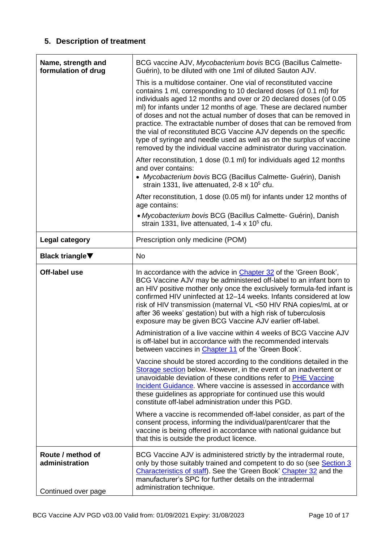## **5. Description of treatment**

| Name, strength and<br>formulation of drug                  | BCG vaccine AJV, Mycobacterium bovis BCG (Bacillus Calmette-<br>Guérin), to be diluted with one 1ml of diluted Sauton AJV.                                                                                                                                                                                                                                                                                                                                                                                                                                                                                                                      |
|------------------------------------------------------------|-------------------------------------------------------------------------------------------------------------------------------------------------------------------------------------------------------------------------------------------------------------------------------------------------------------------------------------------------------------------------------------------------------------------------------------------------------------------------------------------------------------------------------------------------------------------------------------------------------------------------------------------------|
|                                                            | This is a multidose container. One vial of reconstituted vaccine<br>contains 1 ml, corresponding to 10 declared doses (of 0.1 ml) for<br>individuals aged 12 months and over or 20 declared doses (of 0.05<br>ml) for infants under 12 months of age. These are declared number<br>of doses and not the actual number of doses that can be removed in<br>practice. The extractable number of doses that can be removed from<br>the vial of reconstituted BCG Vaccine AJV depends on the specific<br>type of syringe and needle used as well as on the surplus of vaccine<br>removed by the individual vaccine administrator during vaccination. |
|                                                            | After reconstitution, 1 dose (0.1 ml) for individuals aged 12 months<br>and over contains:<br>• Mycobacterium bovis BCG (Bacillus Calmette- Guérin), Danish<br>strain 1331, live attenuated, 2-8 x 10 <sup>5</sup> cfu.                                                                                                                                                                                                                                                                                                                                                                                                                         |
|                                                            | After reconstitution, 1 dose (0.05 ml) for infants under 12 months of<br>age contains:                                                                                                                                                                                                                                                                                                                                                                                                                                                                                                                                                          |
|                                                            | • Mycobacterium bovis BCG (Bacillus Calmette- Guérin), Danish<br>strain 1331, live attenuated, $1-4 \times 10^5$ cfu.                                                                                                                                                                                                                                                                                                                                                                                                                                                                                                                           |
| Legal category                                             | Prescription only medicine (POM)                                                                                                                                                                                                                                                                                                                                                                                                                                                                                                                                                                                                                |
| <b>Black triangle</b> ▼                                    | No                                                                                                                                                                                                                                                                                                                                                                                                                                                                                                                                                                                                                                              |
| Off-label use                                              | In accordance with the advice in Chapter 32 of the 'Green Book',<br>BCG Vaccine AJV may be administered off-label to an infant born to<br>an HIV positive mother only once the exclusively formula-fed infant is<br>confirmed HIV uninfected at 12-14 weeks. Infants considered at low<br>risk of HIV transmission (maternal VL <50 HIV RNA copies/mL at or<br>after 36 weeks' gestation) but with a high risk of tuberculosis<br>exposure may be given BCG Vaccine AJV earlier off-label.                                                                                                                                                      |
|                                                            | Administration of a live vaccine within 4 weeks of BCG Vaccine AJV<br>is off-label but in accordance with the recommended intervals<br>between vaccines in Chapter 11 of the 'Green Book'.                                                                                                                                                                                                                                                                                                                                                                                                                                                      |
|                                                            | Vaccine should be stored according to the conditions detailed in the<br>Storage section below. However, in the event of an inadvertent or<br>unavoidable deviation of these conditions refer to PHE Vaccine<br>Incident Guidance. Where vaccine is assessed in accordance with<br>these guidelines as appropriate for continued use this would<br>constitute off-label administration under this PGD.                                                                                                                                                                                                                                           |
|                                                            | Where a vaccine is recommended off-label consider, as part of the<br>consent process, informing the individual/parent/carer that the<br>vaccine is being offered in accordance with national guidance but<br>that this is outside the product licence.                                                                                                                                                                                                                                                                                                                                                                                          |
| Route / method of<br>administration<br>Continued over page | BCG Vaccine AJV is administered strictly by the intradermal route,<br>only by those suitably trained and competent to do so (see Section 3<br>Characteristics of staff). See the 'Green Book' Chapter 32 and the<br>manufacturer's SPC for further details on the intradermal<br>administration technique.                                                                                                                                                                                                                                                                                                                                      |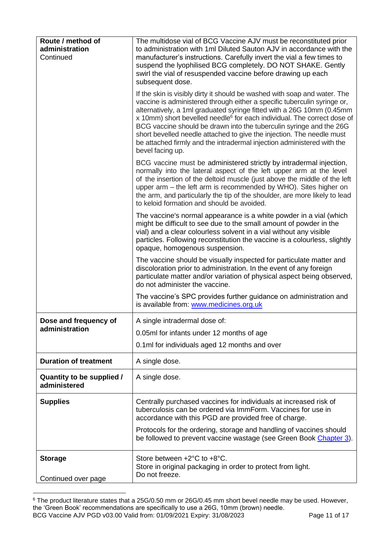| Route / method of<br>administration<br>Continued | The multidose vial of BCG Vaccine AJV must be reconstituted prior<br>to administration with 1ml Diluted Sauton AJV in accordance with the<br>manufacturer's instructions. Carefully invert the vial a few times to<br>suspend the lyophilised BCG completely. DO NOT SHAKE. Gently<br>swirl the vial of resuspended vaccine before drawing up each<br>subsequent dose.                                                                                                                                                                                              |
|--------------------------------------------------|---------------------------------------------------------------------------------------------------------------------------------------------------------------------------------------------------------------------------------------------------------------------------------------------------------------------------------------------------------------------------------------------------------------------------------------------------------------------------------------------------------------------------------------------------------------------|
|                                                  | If the skin is visibly dirty it should be washed with soap and water. The<br>vaccine is administered through either a specific tuberculin syringe or,<br>alternatively, a 1ml graduated syringe fitted with a 26G 10mm (0.45mm<br>x 10mm) short bevelled needle <sup>6</sup> for each individual. The correct dose of<br>BCG vaccine should be drawn into the tuberculin syringe and the 26G<br>short bevelled needle attached to give the injection. The needle must<br>be attached firmly and the intradermal injection administered with the<br>bevel facing up. |
|                                                  | BCG vaccine must be administered strictly by intradermal injection,<br>normally into the lateral aspect of the left upper arm at the level<br>of the insertion of the deltoid muscle (just above the middle of the left<br>upper arm – the left arm is recommended by WHO). Sites higher on<br>the arm, and particularly the tip of the shoulder, are more likely to lead<br>to keloid formation and should be avoided.                                                                                                                                             |
|                                                  | The vaccine's normal appearance is a white powder in a vial (which<br>might be difficult to see due to the small amount of powder in the<br>vial) and a clear colourless solvent in a vial without any visible<br>particles. Following reconstitution the vaccine is a colourless, slightly<br>opaque, homogenous suspension.                                                                                                                                                                                                                                       |
|                                                  | The vaccine should be visually inspected for particulate matter and<br>discoloration prior to administration. In the event of any foreign<br>particulate matter and/or variation of physical aspect being observed,<br>do not administer the vaccine.                                                                                                                                                                                                                                                                                                               |
|                                                  | The vaccine's SPC provides further guidance on administration and<br>is available from: www.medicines.org.uk                                                                                                                                                                                                                                                                                                                                                                                                                                                        |
| Dose and frequency of                            | A single intradermal dose of:                                                                                                                                                                                                                                                                                                                                                                                                                                                                                                                                       |
| administration                                   | 0.05ml for infants under 12 months of age                                                                                                                                                                                                                                                                                                                                                                                                                                                                                                                           |
|                                                  | 0.1ml for individuals aged 12 months and over                                                                                                                                                                                                                                                                                                                                                                                                                                                                                                                       |
| <b>Duration of treatment</b>                     | A single dose.                                                                                                                                                                                                                                                                                                                                                                                                                                                                                                                                                      |
| Quantity to be supplied /<br>administered        | A single dose.                                                                                                                                                                                                                                                                                                                                                                                                                                                                                                                                                      |
| <b>Supplies</b>                                  | Centrally purchased vaccines for individuals at increased risk of<br>tuberculosis can be ordered via ImmForm. Vaccines for use in<br>accordance with this PGD are provided free of charge.                                                                                                                                                                                                                                                                                                                                                                          |
|                                                  | Protocols for the ordering, storage and handling of vaccines should<br>be followed to prevent vaccine wastage (see Green Book Chapter 3).                                                                                                                                                                                                                                                                                                                                                                                                                           |
| <b>Storage</b><br>Continued over page            | Store between +2°C to +8°C.<br>Store in original packaging in order to protect from light.<br>Do not freeze.                                                                                                                                                                                                                                                                                                                                                                                                                                                        |

<span id="page-10-0"></span>BCG Vaccine AJV PGD v03.00 Valid from: 01/09/2021 Expiry: 31/08/2023 Page 11 of 17  $6$  The product literature states that a 25G/0.50 mm or 26G/0.45 mm short bevel needle may be used. However, the 'Green Book' recommendations are specifically to use a 26G, 10mm (brown) needle.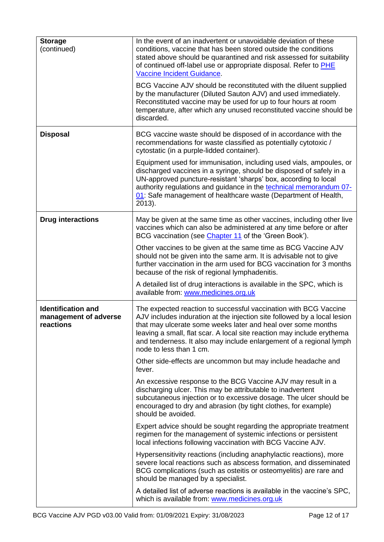| <b>Storage</b><br>(continued)                                   | In the event of an inadvertent or unavoidable deviation of these<br>conditions, vaccine that has been stored outside the conditions<br>stated above should be quarantined and risk assessed for suitability<br>of continued off-label use or appropriate disposal. Refer to PHE<br>Vaccine Incident Guidance.<br>BCG Vaccine AJV should be reconstituted with the diluent supplied       |  |
|-----------------------------------------------------------------|------------------------------------------------------------------------------------------------------------------------------------------------------------------------------------------------------------------------------------------------------------------------------------------------------------------------------------------------------------------------------------------|--|
|                                                                 | by the manufacturer (Diluted Sauton AJV) and used immediately.<br>Reconstituted vaccine may be used for up to four hours at room<br>temperature, after which any unused reconstituted vaccine should be<br>discarded.                                                                                                                                                                    |  |
| <b>Disposal</b>                                                 | BCG vaccine waste should be disposed of in accordance with the<br>recommendations for waste classified as potentially cytotoxic /<br>cytostatic (in a purple-lidded container).                                                                                                                                                                                                          |  |
|                                                                 | Equipment used for immunisation, including used vials, ampoules, or<br>discharged vaccines in a syringe, should be disposed of safely in a<br>UN-approved puncture-resistant 'sharps' box, according to local<br>authority regulations and guidance in the technical memorandum 07-<br>01: Safe management of healthcare waste (Department of Health,<br>2013).                          |  |
| <b>Drug interactions</b>                                        | May be given at the same time as other vaccines, including other live<br>vaccines which can also be administered at any time before or after<br>BCG vaccination (see Chapter 11 of the 'Green Book').                                                                                                                                                                                    |  |
|                                                                 | Other vaccines to be given at the same time as BCG Vaccine AJV<br>should not be given into the same arm. It is advisable not to give<br>further vaccination in the arm used for BCG vaccination for 3 months<br>because of the risk of regional lymphadenitis.                                                                                                                           |  |
|                                                                 | A detailed list of drug interactions is available in the SPC, which is<br>available from: www.medicines.org.uk                                                                                                                                                                                                                                                                           |  |
| <b>Identification and</b><br>management of adverse<br>reactions | The expected reaction to successful vaccination with BCG Vaccine<br>AJV includes induration at the injection site followed by a local lesion<br>that may ulcerate some weeks later and heal over some months<br>leaving a small, flat scar. A local site reaction may include erythema<br>and tenderness. It also may include enlargement of a regional lymph<br>node to less than 1 cm. |  |
|                                                                 | Other side-effects are uncommon but may include headache and<br>fever.                                                                                                                                                                                                                                                                                                                   |  |
|                                                                 | An excessive response to the BCG Vaccine AJV may result in a<br>discharging ulcer. This may be attributable to inadvertent<br>subcutaneous injection or to excessive dosage. The ulcer should be<br>encouraged to dry and abrasion (by tight clothes, for example)<br>should be avoided.                                                                                                 |  |
|                                                                 | Expert advice should be sought regarding the appropriate treatment<br>regimen for the management of systemic infections or persistent<br>local infections following vaccination with BCG Vaccine AJV.                                                                                                                                                                                    |  |
|                                                                 | Hypersensitivity reactions (including anaphylactic reactions), more<br>severe local reactions such as abscess formation, and disseminated<br>BCG complications (such as osteitis or osteomyelitis) are rare and<br>should be managed by a specialist.                                                                                                                                    |  |
|                                                                 | A detailed list of adverse reactions is available in the vaccine's SPC,<br>which is available from: www.medicines.org.uk                                                                                                                                                                                                                                                                 |  |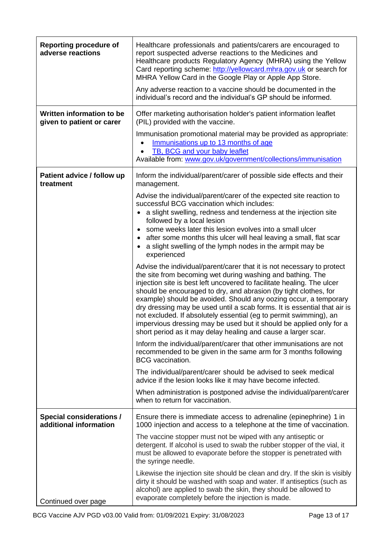| <b>Reporting procedure of</b><br>adverse reactions        | Healthcare professionals and patients/carers are encouraged to<br>report suspected adverse reactions to the Medicines and<br>Healthcare products Regulatory Agency (MHRA) using the Yellow<br>Card reporting scheme: http://yellowcard.mhra.gov.uk or search for<br>MHRA Yellow Card in the Google Play or Apple App Store.<br>Any adverse reaction to a vaccine should be documented in the<br>individual's record and the individual's GP should be informed.                                                                                                                                                                                 |  |
|-----------------------------------------------------------|-------------------------------------------------------------------------------------------------------------------------------------------------------------------------------------------------------------------------------------------------------------------------------------------------------------------------------------------------------------------------------------------------------------------------------------------------------------------------------------------------------------------------------------------------------------------------------------------------------------------------------------------------|--|
| Written information to be<br>given to patient or carer    | Offer marketing authorisation holder's patient information leaflet<br>(PIL) provided with the vaccine.                                                                                                                                                                                                                                                                                                                                                                                                                                                                                                                                          |  |
|                                                           | Immunisation promotional material may be provided as appropriate:<br>Immunisations up to 13 months of age<br>TB, BCG and your baby leaflet<br>Available from: www.gov.uk/government/collections/immunisation                                                                                                                                                                                                                                                                                                                                                                                                                                    |  |
| Patient advice / follow up<br>treatment                   | Inform the individual/parent/carer of possible side effects and their<br>management.                                                                                                                                                                                                                                                                                                                                                                                                                                                                                                                                                            |  |
|                                                           | Advise the individual/parent/carer of the expected site reaction to<br>successful BCG vaccination which includes:<br>a slight swelling, redness and tenderness at the injection site<br>followed by a local lesion<br>some weeks later this lesion evolves into a small ulcer<br>after some months this ulcer will heal leaving a small, flat scar<br>a slight swelling of the lymph nodes in the armpit may be<br>experienced                                                                                                                                                                                                                  |  |
|                                                           | Advise the individual/parent/carer that it is not necessary to protect<br>the site from becoming wet during washing and bathing. The<br>injection site is best left uncovered to facilitate healing. The ulcer<br>should be encouraged to dry, and abrasion (by tight clothes, for<br>example) should be avoided. Should any oozing occur, a temporary<br>dry dressing may be used until a scab forms. It is essential that air is<br>not excluded. If absolutely essential (eg to permit swimming), an<br>impervious dressing may be used but it should be applied only for a<br>short period as it may delay healing and cause a larger scar. |  |
|                                                           | Inform the individual/parent/carer that other immunisations are not<br>recommended to be given in the same arm for 3 months following<br><b>BCG</b> vaccination.                                                                                                                                                                                                                                                                                                                                                                                                                                                                                |  |
|                                                           | The individual/parent/carer should be advised to seek medical<br>advice if the lesion looks like it may have become infected.                                                                                                                                                                                                                                                                                                                                                                                                                                                                                                                   |  |
|                                                           | When administration is postponed advise the individual/parent/carer<br>when to return for vaccination.                                                                                                                                                                                                                                                                                                                                                                                                                                                                                                                                          |  |
| <b>Special considerations /</b><br>additional information | Ensure there is immediate access to adrenaline (epinephrine) 1 in<br>1000 injection and access to a telephone at the time of vaccination.                                                                                                                                                                                                                                                                                                                                                                                                                                                                                                       |  |
|                                                           | The vaccine stopper must not be wiped with any antiseptic or<br>detergent. If alcohol is used to swab the rubber stopper of the vial, it<br>must be allowed to evaporate before the stopper is penetrated with<br>the syringe needle.                                                                                                                                                                                                                                                                                                                                                                                                           |  |
| Continued over page                                       | Likewise the injection site should be clean and dry. If the skin is visibly<br>dirty it should be washed with soap and water. If antiseptics (such as<br>alcohol) are applied to swab the skin, they should be allowed to<br>evaporate completely before the injection is made.                                                                                                                                                                                                                                                                                                                                                                 |  |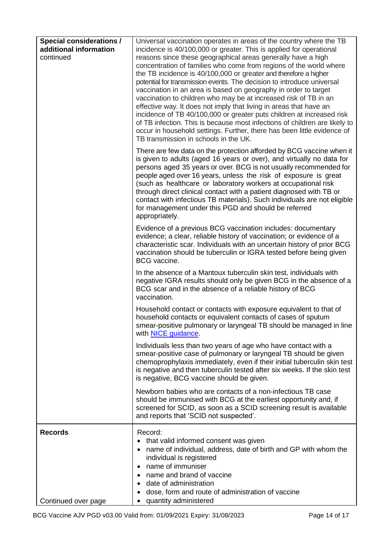<span id="page-13-0"></span>

| <b>Special considerations /</b><br>additional information<br>continued | Universal vaccination operates in areas of the country where the TB<br>incidence is 40/100,000 or greater. This is applied for operational<br>reasons since these geographical areas generally have a high<br>concentration of families who come from regions of the world where<br>the TB incidence is 40/100,000 or greater and therefore a higher<br>potential for transmission events. The decision to introduce universal<br>vaccination in an area is based on geography in order to target<br>vaccination to children who may be at increased risk of TB in an<br>effective way. It does not imply that living in areas that have an<br>incidence of TB 40/100,000 or greater puts children at increased risk<br>of TB infection. This is because most infections of children are likely to<br>occur in household settings. Further, there has been little evidence of<br>TB transmission in schools in the UK. |
|------------------------------------------------------------------------|------------------------------------------------------------------------------------------------------------------------------------------------------------------------------------------------------------------------------------------------------------------------------------------------------------------------------------------------------------------------------------------------------------------------------------------------------------------------------------------------------------------------------------------------------------------------------------------------------------------------------------------------------------------------------------------------------------------------------------------------------------------------------------------------------------------------------------------------------------------------------------------------------------------------|
|                                                                        | There are few data on the protection afforded by BCG vaccine when it<br>is given to adults (aged 16 years or over), and virtually no data for<br>persons aged 35 years or over. BCG is not usually recommended for<br>people aged over 16 years, unless the risk of exposure is great<br>(such as healthcare or laboratory workers at occupational risk<br>through direct clinical contact with a patient diagnosed with TB or<br>contact with infectious TB materials). Such individuals are not eligible<br>for management under this PGD and should be referred<br>appropriately.                                                                                                                                                                                                                                                                                                                                   |
|                                                                        | Evidence of a previous BCG vaccination includes: documentary<br>evidence; a clear, reliable history of vaccination; or evidence of a<br>characteristic scar. Individuals with an uncertain history of prior BCG<br>vaccination should be tuberculin or IGRA tested before being given<br>BCG vaccine.                                                                                                                                                                                                                                                                                                                                                                                                                                                                                                                                                                                                                  |
|                                                                        | In the absence of a Mantoux tuberculin skin test, individuals with<br>negative IGRA results should only be given BCG in the absence of a<br>BCG scar and in the absence of a reliable history of BCG<br>vaccination.                                                                                                                                                                                                                                                                                                                                                                                                                                                                                                                                                                                                                                                                                                   |
|                                                                        | Household contact or contacts with exposure equivalent to that of<br>household contacts or equivalent contacts of cases of sputum<br>smear-positive pulmonary or laryngeal TB should be managed in line<br>with NICE guidance.                                                                                                                                                                                                                                                                                                                                                                                                                                                                                                                                                                                                                                                                                         |
|                                                                        | Individuals less than two years of age who have contact with a<br>smear-positive case of pulmonary or laryngeal TB should be given<br>chemoprophylaxis immediately, even if their initial tuberculin skin test<br>is negative and then tuberculin tested after six weeks. If the skin test<br>is negative, BCG vaccine should be given.                                                                                                                                                                                                                                                                                                                                                                                                                                                                                                                                                                                |
|                                                                        | Newborn babies who are contacts of a non-infectious TB case<br>should be immunised with BCG at the earliest opportunity and, if<br>screened for SCID, as soon as a SCID screening result is available<br>and reports that 'SCID not suspected'.                                                                                                                                                                                                                                                                                                                                                                                                                                                                                                                                                                                                                                                                        |
| <b>Records</b>                                                         | Record:<br>• that valid informed consent was given<br>name of individual, address, date of birth and GP with whom the<br>individual is registered<br>name of immuniser<br>$\bullet$<br>name and brand of vaccine<br>date of administration<br>dose, form and route of administration of vaccine                                                                                                                                                                                                                                                                                                                                                                                                                                                                                                                                                                                                                        |
| Continued over page                                                    | quantity administered                                                                                                                                                                                                                                                                                                                                                                                                                                                                                                                                                                                                                                                                                                                                                                                                                                                                                                  |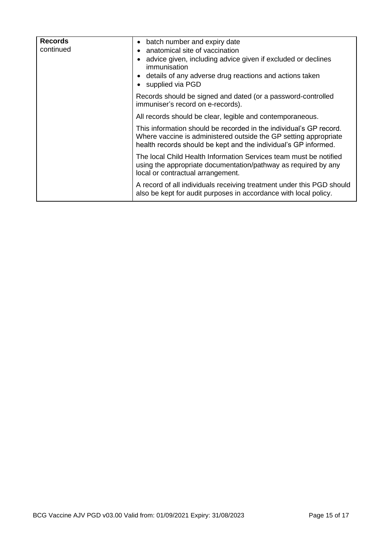| <b>Records</b><br>continued | • batch number and expiry date<br>anatomical site of vaccination<br>advice given, including advice given if excluded or declines<br>immunisation<br>details of any adverse drug reactions and actions taken<br>• supplied via PGD |
|-----------------------------|-----------------------------------------------------------------------------------------------------------------------------------------------------------------------------------------------------------------------------------|
|                             | Records should be signed and dated (or a password-controlled<br>immuniser's record on e-records).                                                                                                                                 |
|                             | All records should be clear, legible and contemporaneous.                                                                                                                                                                         |
|                             | This information should be recorded in the individual's GP record.<br>Where vaccine is administered outside the GP setting appropriate<br>health records should be kept and the individual's GP informed.                         |
|                             | The local Child Health Information Services team must be notified<br>using the appropriate documentation/pathway as required by any<br>local or contractual arrangement.                                                          |
|                             | A record of all individuals receiving treatment under this PGD should<br>also be kept for audit purposes in accordance with local policy.                                                                                         |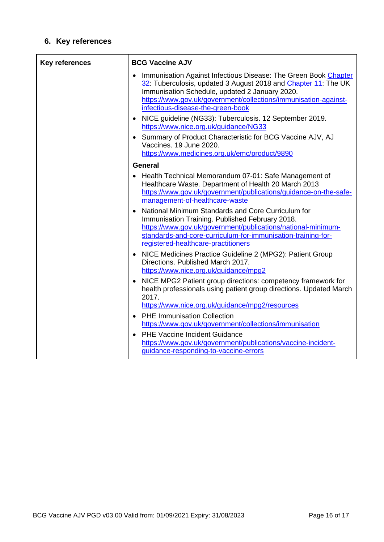## **6. Key references**

| <b>Key references</b> | <b>BCG Vaccine AJV</b>                                                                                                                                                                                                                                                                      |  |
|-----------------------|---------------------------------------------------------------------------------------------------------------------------------------------------------------------------------------------------------------------------------------------------------------------------------------------|--|
|                       | Immunisation Against Infectious Disease: The Green Book Chapter<br>32: Tuberculosis, updated 3 August 2018 and Chapter 11: The UK<br>Immunisation Schedule, updated 2 January 2020.<br>https://www.gov.uk/government/collections/immunisation-against-<br>infectious-disease-the-green-book |  |
|                       | NICE guideline (NG33): Tuberculosis. 12 September 2019.<br>https://www.nice.org.uk/guidance/NG33                                                                                                                                                                                            |  |
|                       | Summary of Product Characteristic for BCG Vaccine AJV, AJ<br>Vaccines. 19 June 2020.<br>https://www.medicines.org.uk/emc/product/9890                                                                                                                                                       |  |
|                       | <b>General</b>                                                                                                                                                                                                                                                                              |  |
|                       | • Health Technical Memorandum 07-01: Safe Management of<br>Healthcare Waste. Department of Health 20 March 2013<br>https://www.gov.uk/government/publications/guidance-on-the-safe-<br>management-of-healthcare-waste                                                                       |  |
|                       | National Minimum Standards and Core Curriculum for<br>Immunisation Training. Published February 2018.<br>https://www.gov.uk/government/publications/national-minimum-<br>standards-and-core-curriculum-for-immunisation-training-for-<br>registered-healthcare-practitioners                |  |
|                       | NICE Medicines Practice Guideline 2 (MPG2): Patient Group<br>Directions. Published March 2017.<br>https://www.nice.org.uk/guidance/mpg2                                                                                                                                                     |  |
|                       | NICE MPG2 Patient group directions: competency framework for<br>health professionals using patient group directions. Updated March<br>2017.                                                                                                                                                 |  |
|                       | https://www.nice.org.uk/guidance/mpg2/resources                                                                                                                                                                                                                                             |  |
|                       | <b>PHE Immunisation Collection</b><br>https://www.gov.uk/government/collections/immunisation                                                                                                                                                                                                |  |
|                       | <b>PHE Vaccine Incident Guidance</b><br>https://www.gov.uk/government/publications/vaccine-incident-<br>guidance-responding-to-vaccine-errors                                                                                                                                               |  |